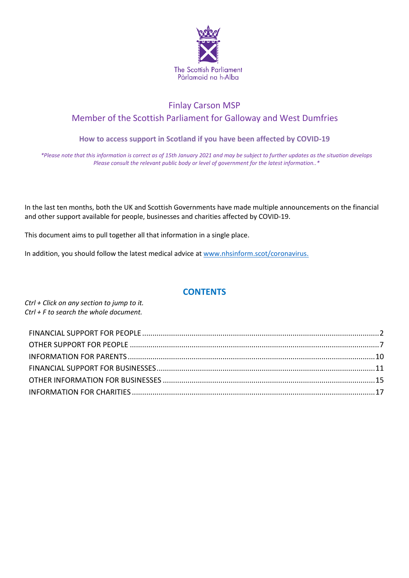

# Finlay Carson MSP Member of the Scottish Parliament for Galloway and West Dumfries

# **How to access support in Scotland if you have been affected by COVID-19**

*\*Please note that this information is correct as of 15th January 2021 and may be subject to further updates as the situation develops Please consult the relevant public body or level of government for the latest information..\**

In the last ten months, both the UK and Scottish Governments have made multiple announcements on the financial and other support available for people, businesses and charities affected by COVID-19.

This document aims to pull together all that information in a single place.

In addition, you should follow the latest medical advice at [www.nhsinform.scot/coronavirus.](http://www.nhsinform.scot/coronavirus)

# **CONTENTS**

*Ctrl + Click on any section to jump to it. Ctrl + F to search the whole document.*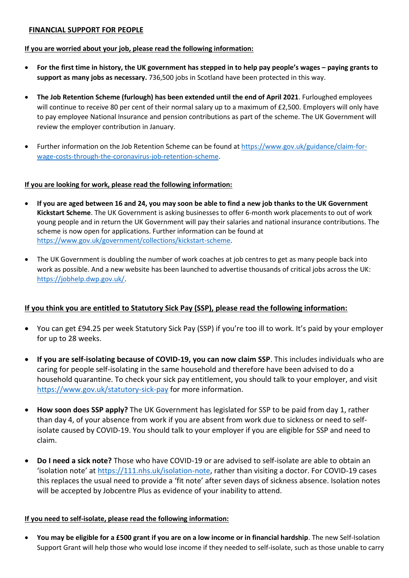# <span id="page-1-0"></span>**FINANCIAL SUPPORT FOR PEOPLE**

### **If you are worried about your job, please read the following information:**

- **For the first time in history, the UK government has stepped in to help pay people's wages – paying grants to support as many jobs as necessary.** 736,500 jobs in Scotland have been protected in this way.
- **The Job Retention Scheme (furlough) has been extended until the end of April 2021**. Furloughed employees will continue to receive 80 per cent of their normal salary up to a maximum of £2,500. Employers will only have to pay employee National Insurance and pension contributions as part of the scheme. The UK Government will review the employer contribution in January.
- Further information on the Job Retention Scheme can be found a[t https://www.gov.uk/guidance/claim-for](https://www.gov.uk/guidance/claim-for-wage-costs-through-the-coronavirus-job-retention-scheme)[wage-costs-through-the-coronavirus-job-retention-scheme.](https://www.gov.uk/guidance/claim-for-wage-costs-through-the-coronavirus-job-retention-scheme)

# **If you are looking for work, please read the following information:**

- **If you are aged between 16 and 24, you may soon be able to find a new job thanks to the UK Government Kickstart Scheme**. The UK Government is asking businesses to offer 6-month work placements to out of work young people and in return the UK Government will pay their salaries and national insurance contributions. The scheme is now open for applications. Further information can be found at [https://www.gov.uk/government/collections/kickstart-scheme.](https://www.gov.uk/government/collections/kickstart-scheme)
- The UK Government is doubling the number of work coaches at job centres to get as many people back into work as possible. And a new website has been launched to advertise thousands of critical jobs across the UK: [https://jobhelp.dwp.gov.uk/.](https://jobhelp.dwp.gov.uk/)

# **If you think you are entitled to Statutory Sick Pay (SSP), please read the following information:**

- You can get £94.25 per week Statutory Sick Pay (SSP) if you're too ill to work. It's paid by your employer for up to 28 weeks.
- **If you are self-isolating because of COVID-19, you can now claim SSP**. This includes individuals who are caring for people self-isolating in the same household and therefore have been advised to do a household quarantine. To check your sick pay entitlement, you should talk to your employer, and visit <https://www.gov.uk/statutory-sick-pay> for more information.
- **How soon does SSP apply?** The UK Government has legislated for SSP to be paid from day 1, rather than day 4, of your absence from work if you are absent from work due to sickness or need to selfisolate caused by COVID-19. You should talk to your employer if you are eligible for SSP and need to claim.
- **Do I need a sick note?** Those who have COVID-19 or are advised to self-isolate are able to obtain an 'isolation note' at [https://111.nhs.uk/isolation-note,](https://111.nhs.uk/isolation-note) rather than visiting a doctor. For COVID-19 cases this replaces the usual need to provide a 'fit note' after seven days of sickness absence. Isolation notes will be accepted by Jobcentre Plus as evidence of your inability to attend.

# **If you need to self-isolate, please read the following information:**

 **You may be eligible for a £500 grant if you are on a low income or in financial hardship**. The new Self-Isolation Support Grant will help those who would lose income if they needed to self-isolate, such as those unable to carry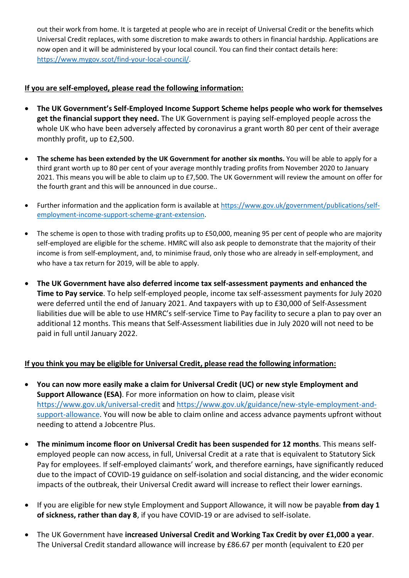out their work from home. It is targeted at people who are in receipt of Universal Credit or the benefits which Universal Credit replaces, with some discretion to make awards to others in financial hardship. Applications are now open and it will be administered by your local council. You can find their contact details here: [https://www.mygov.scot/find-your-local-council/.](https://www.mygov.scot/find-your-local-council/)

# **If you are self-employed, please read the following information:**

- **The UK Government's Self-Employed Income Support Scheme helps people who work for themselves get the financial support they need.** The UK Government is paying self-employed people across the whole UK who have been adversely affected by coronavirus a grant worth 80 per cent of their average monthly profit, up to £2,500.
- **The scheme has been extended by the UK Government for another six months.** You will be able to apply for a third grant worth up to 80 per cent of your average monthly trading profits from November 2020 to January 2021. This means you will be able to claim up to £7,500. The UK Government will review the amount on offer for the fourth grant and this will be announced in due course..
- Further information and the application form is available a[t https://www.gov.uk/government/publications/self](https://www.gov.uk/government/publications/self-employment-income-support-scheme-grant-extension)[employment-income-support-scheme-grant-extension.](https://www.gov.uk/government/publications/self-employment-income-support-scheme-grant-extension)
- The scheme is open to those with trading profits up to £50,000, meaning 95 per cent of people who are majority self-employed are eligible for the scheme. HMRC will also ask people to demonstrate that the majority of their income is from self-employment, and, to minimise fraud, only those who are already in self-employment, and who have a tax return for 2019, will be able to apply.
- **The UK Government have also deferred income tax self-assessment payments and enhanced the Time to Pay service**. To help self-employed people, income tax self-assessment payments for July 2020 were deferred until the end of January 2021. And taxpayers with up to £30,000 of Self-Assessment liabilities due will be able to use HMRC's self-service Time to Pay facility to secure a plan to pay over an additional 12 months. This means that Self-Assessment liabilities due in July 2020 will not need to be paid in full until January 2022.

# **If you think you may be eligible for Universal Credit, please read the following information:**

- **You can now more easily make a claim for Universal Credit (UC) or new style Employment and Support Allowance (ESA)**. For more information on how to claim, please visit <https://www.gov.uk/universal-credit> and [https://www.gov.uk/guidance/new-style-employment-and](https://www.gov.uk/guidance/new-style-employment-and-support-allowance)[support-allowance.](https://www.gov.uk/guidance/new-style-employment-and-support-allowance) You will now be able to claim online and access advance payments upfront without needing to attend a Jobcentre Plus.
- **The minimum income floor on Universal Credit has been suspended for 12 months**. This means selfemployed people can now access, in full, Universal Credit at a rate that is equivalent to Statutory Sick Pay for employees. If self-employed claimants' work, and therefore earnings, have significantly reduced due to the impact of COVID-19 guidance on self-isolation and social distancing, and the wider economic impacts of the outbreak, their Universal Credit award will increase to reflect their lower earnings.
- If you are eligible for new style Employment and Support Allowance, it will now be payable **from day 1 of sickness, rather than day 8**, if you have COVID-19 or are advised to self-isolate.
- The UK Government have **increased Universal Credit and Working Tax Credit by over £1,000 a year**. The Universal Credit standard allowance will increase by £86.67 per month (equivalent to £20 per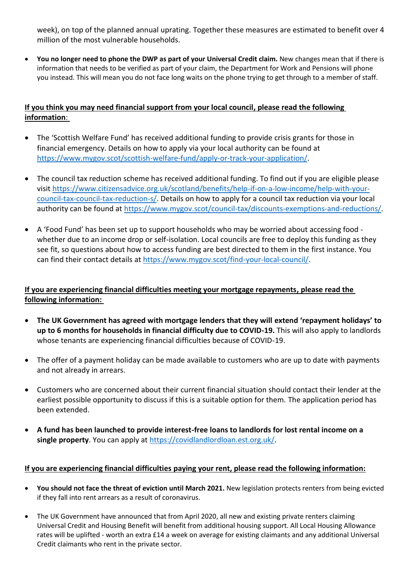week), on top of the planned annual uprating. Together these measures are estimated to benefit over 4 million of the most vulnerable households.

 **You no longer need to phone the DWP as part of your Universal Credit claim.** New changes mean that if there is information that needs to be verified as part of your claim, the Department for Work and Pensions will phone you instead. This will mean you do not face long waits on the phone trying to get through to a member of staff.

# **If you think you may need financial support from your local council, please read the following information**:

- The 'Scottish Welfare Fund' has received additional funding to provide crisis grants for those in financial emergency. Details on how to apply via your local authority can be found at [https://www.mygov.scot/scottish-welfare-fund/apply-or-track-your-application/.](https://www.mygov.scot/scottish-welfare-fund/apply-or-track-your-application/)
- The council tax reduction scheme has received additional funding. To find out if you are eligible please visit [https://www.citizensadvice.org.uk/scotland/benefits/help-if-on-a-low-income/help-with-your](https://www.citizensadvice.org.uk/scotland/benefits/help-if-on-a-low-income/help-with-your-council-tax-council-tax-reduction-s/council-tax-reduction-making-an-application-s/council-tax-reduction-are-you-eligible-s/)[council-tax-council-tax-reduction-s/.](https://www.citizensadvice.org.uk/scotland/benefits/help-if-on-a-low-income/help-with-your-council-tax-council-tax-reduction-s/council-tax-reduction-making-an-application-s/council-tax-reduction-are-you-eligible-s/) Details on how to apply for a council tax reduction via your local authority can be found at [https://www.mygov.scot/council-tax/discounts-exemptions-and-reductions/.](https://www.mygov.scot/council-tax/discounts-exemptions-and-reductions/)
- A 'Food Fund' has been set up to support households who may be worried about accessing food whether due to an income drop or self-isolation. Local councils are free to deploy this funding as they see fit, so questions about how to access funding are best directed to them in the first instance. You can find their contact details at [https://www.mygov.scot/find-your-local-council/.](https://www.mygov.scot/find-your-local-council/)

# **If you are experiencing financial difficulties meeting your mortgage repayments, please read the following information:**

- **The UK Government has agreed with mortgage lenders that they will extend 'repayment holidays' to up to 6 months for households in financial difficulty due to COVID-19.** This will also apply to landlords whose tenants are experiencing financial difficulties because of COVID-19.
- The offer of a payment holiday can be made available to customers who are up to date with payments and not already in arrears.
- Customers who are concerned about their current financial situation should contact their lender at the earliest possible opportunity to discuss if this is a suitable option for them. The application period has been extended.
- **A fund has been launched to provide interest-free loans to landlords for lost rental income on a single property**. You can apply at [https://covidlandlordloan.est.org.uk/.](https://covidlandlordloan.est.org.uk/)

# **If you are experiencing financial difficulties paying your rent, please read the following information:**

- **You should not face the threat of eviction until March 2021.** New legislation protects renters from being evicted if they fall into rent arrears as a result of coronavirus.
- The UK Government have announced that from April 2020, all new and existing private renters claiming Universal Credit and Housing Benefit will benefit from additional housing support. All Local Housing Allowance rates will be uplifted - worth an extra £14 a week on average for existing claimants and any additional Universal Credit claimants who rent in the private sector.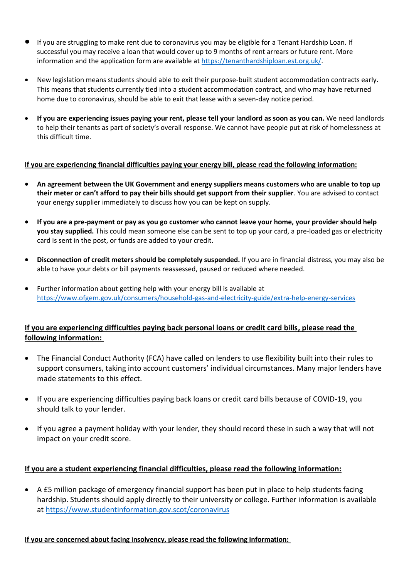- If you are struggling to make rent due to coronavirus you may be eligible for a Tenant Hardship Loan. If successful you may receive a loan that would cover up to 9 months of rent arrears or future rent. More information and the application form are available at [https://tenanthardshiploan.est.org.uk/.](https://tenanthardshiploan.est.org.uk/)
- New legislation means students should able to exit their purpose-built student accommodation contracts early. This means that students currently tied into a student accommodation contract, and who may have returned home due to coronavirus, should be able to exit that lease with a seven-day notice period.
- **If you are experiencing issues paying your rent, please tell your landlord as soon as you can.** We need landlords to help their tenants as part of society's overall response. We cannot have people put at risk of homelessness at this difficult time.

# **If you are experiencing financial difficulties paying your energy bill, please read the following information:**

- **An agreement between the UK Government and energy suppliers means customers who are unable to top up their meter or can't afford to pay their bills should get support from their supplier**. You are advised to contact your energy supplier immediately to discuss how you can be kept on supply.
- **If you are a pre-payment or pay as you go customer who cannot leave your home, your provider should help you stay supplied.** This could mean someone else can be sent to top up your card, a pre-loaded gas or electricity card is sent in the post, or funds are added to your credit.
- **Disconnection of credit meters should be completely suspended.** If you are in financial distress, you may also be able to have your debts or bill payments reassessed, paused or reduced where needed.
- Further information about getting help with your energy bill is available at <https://www.ofgem.gov.uk/consumers/household-gas-and-electricity-guide/extra-help-energy-services>

# **If you are experiencing difficulties paying back personal loans or credit card bills, please read the following information:**

- The Financial Conduct Authority (FCA) have called on lenders to use flexibility built into their rules to support consumers, taking into account customers' individual circumstances. Many major lenders have made statements to this effect.
- If you are experiencing difficulties paying back loans or credit card bills because of COVID-19, you should talk to your lender.
- If you agree a payment holiday with your lender, they should record these in such a way that will not impact on your credit score.

# **If you are a student experiencing financial difficulties, please read the following information:**

 A £5 million package of emergency financial support has been put in place to help students facing hardship. Students should apply directly to their university or college. Further information is available at<https://www.studentinformation.gov.scot/coronavirus>

# **If you are concerned about facing insolvency, please read the following information:**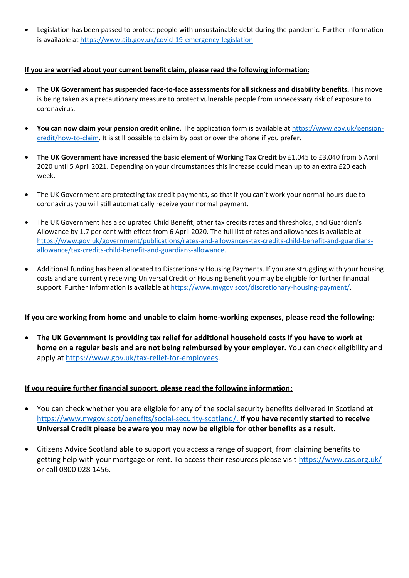Legislation has been passed to protect people with unsustainable debt during the pandemic. Further information is available at<https://www.aib.gov.uk/covid-19-emergency-legislation>

# **If you are worried about your current benefit claim, please read the following information:**

- **The UK Government has suspended face-to-face assessments for all sickness and disability benefits.** This move is being taken as a precautionary measure to protect vulnerable people from unnecessary risk of exposure to coronavirus.
- **You can now claim your pension credit online**. The application form is available at [https://www.gov.uk/pension](https://www.gov.uk/pension-credit/how-to-claim)[credit/how-to-claim.](https://www.gov.uk/pension-credit/how-to-claim) It is still possible to claim by post or over the phone if you prefer.
- **The UK Government have increased the basic element of Working Tax Credit** by £1,045 to £3,040 from 6 April 2020 until 5 April 2021. Depending on your circumstances this increase could mean up to an extra £20 each week.
- The UK Government are protecting tax credit payments, so that if you can't work your normal hours due to coronavirus you will still automatically receive your normal payment.
- The UK Government has also uprated Child Benefit, other tax credits rates and thresholds, and Guardian's Allowance by 1.7 per cent with effect from 6 April 2020. The full list of rates and allowances is available at [https://www.gov.uk/government/publications/rates-and-allowances-tax-credits-child-benefit-and-guardians](https://www.gov.uk/government/publications/rates-and-allowances-tax-credits-child-benefit-and-guardians-allowance/tax-credits-child-benefit-and-guardians-allowance)[allowance/tax-credits-child-benefit-and-guardians-allowance.](https://www.gov.uk/government/publications/rates-and-allowances-tax-credits-child-benefit-and-guardians-allowance/tax-credits-child-benefit-and-guardians-allowance)
- Additional funding has been allocated to Discretionary Housing Payments. If you are struggling with your housing costs and are currently receiving Universal Credit or Housing Benefit you may be eligible for further financial support. Further information is available a[t https://www.mygov.scot/discretionary-housing-payment/.](https://www.mygov.scot/discretionary-housing-payment/)

# **If you are working from home and unable to claim home-working expenses, please read the following:**

 **The UK Government is providing tax relief for additional household costs if you have to work at home on a regular basis and are not being reimbursed by your employer.** You can check eligibility and apply a[t https://www.gov.uk/tax-relief-for-employees.](https://www.gov.uk/tax-relief-for-employees)

# **If you require further financial support, please read the following information:**

- You can check whether you are eligible for any of the social security benefits delivered in Scotland at [https://www.mygov.scot/benefits/social-security-scotland/.](https://www.mygov.scot/benefits/social-security-scotland/) **If you have recently started to receive Universal Credit please be aware you may now be eligible for other benefits as a result**.
- Citizens Advice Scotland able to support you access a range of support, from claiming benefits to getting help with your mortgage or rent. To access their resources please visit<https://www.cas.org.uk/> or call 0800 028 1456.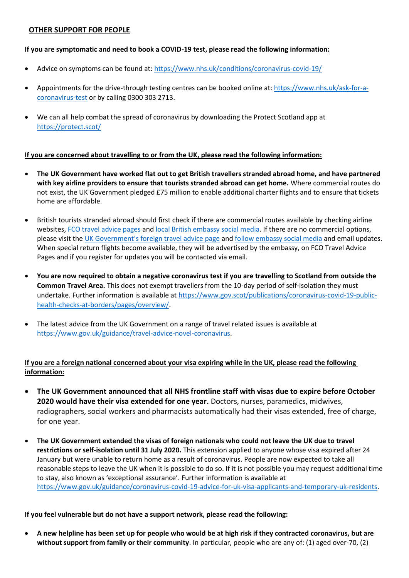# <span id="page-6-0"></span>**OTHER SUPPORT FOR PEOPLE**

#### **If you are symptomatic and need to book a COVID-19 test, please read the following information:**

- Advice on symptoms can be found at[: https://www.nhs.uk/conditions/coronavirus-covid-19/](https://www.nhs.uk/conditions/coronavirus-covid-19/)
- Appointments for the drive-through testing centres can be booked online at: [https://www.nhs.uk/ask-for-a](https://www.nhs.uk/ask-for-a-coronavirus-test)[coronavirus-test](https://www.nhs.uk/ask-for-a-coronavirus-test) or by calling 0300 303 2713.
- We can all help combat the spread of coronavirus by downloading the Protect Scotland app at <https://protect.scot/>

#### **If you are concerned about travelling to or from the UK, please read the following information:**

- **The UK Government have worked flat out to get British travellers stranded abroad home, and have partnered with key airline providers to ensure that tourists stranded abroad can get home.** Where commercial routes do not exist, the UK Government pledged £75 million to enable additional charter flights and to ensure that tickets home are affordable.
- British tourists stranded abroad should first check if there are commercial routes available by checking airline websites[, FCO travel advice pages](https://www.gov.uk/foreign-travel-advice) an[d local British embassy social media.](https://www.gov.uk/government/organisations/foreign-commonwealth-office/about/social-media-use#worldwide-foreign-office-social-media-accounts) If there are no commercial options, please visit the [UK Government's foreign travel advice page](https://www.gov.uk/foreign-travel-advice) and [follow embassy social media](https://www.gov.uk/government/organisations/foreign-commonwealth-office/about/social-media-use#worldwide-foreign-office-social-media-accounts) and email updates. When special return flights become available, they will be advertised by the embassy, on FCO Travel Advice Pages and if you register for updates you will be contacted via email.
- **You are now required to obtain a negative coronavirus test if you are travelling to Scotland from outside the Common Travel Area.** This does not exempt travellers from the 10-day period of self-isolation they must undertake. Further information is available a[t https://www.gov.scot/publications/coronavirus-covid-19-public](https://www.gov.scot/publications/coronavirus-covid-19-public-health-checks-at-borders/pages/overview/)[health-checks-at-borders/pages/overview/.](https://www.gov.scot/publications/coronavirus-covid-19-public-health-checks-at-borders/pages/overview/)
- The latest advice from the UK Government on a range of travel related issues is available at [https://www.gov.uk/guidance/travel-advice-novel-coronavirus.](https://www.gov.uk/guidance/travel-advice-novel-coronavirus)

# **If you are a foreign national concerned about your visa expiring while in the UK, please read the following information:**

- **The UK Government announced that all NHS frontline staff with visas due to expire before October 2020 would have their visa extended for one year.** Doctors, nurses, paramedics, midwives, radiographers, social workers and pharmacists automatically had their visas extended, free of charge, for one year.
- **The UK Government extended the visas of foreign nationals who could not leave the UK due to travel restrictions or self-isolation until 31 July 2020.** This extension applied to anyone whose visa expired after 24 January but were unable to return home as a result of coronavirus. People are now expected to take all reasonable steps to leave the UK when it is possible to do so. If it is not possible you may request additional time to stay, also known as 'exceptional assurance'. Further information is available at [https://www.gov.uk/guidance/coronavirus-covid-19-advice-for-uk-visa-applicants-and-temporary-uk-residents.](https://www.gov.uk/guidance/coronavirus-covid-19-advice-for-uk-visa-applicants-and-temporary-uk-residents)

#### **If you feel vulnerable but do not have a support network, please read the following:**

 **A new helpline has been set up for people who would be at high risk if they contracted coronavirus, but are without support from family or their community**. In particular, people who are any of: (1) aged over-70, (2)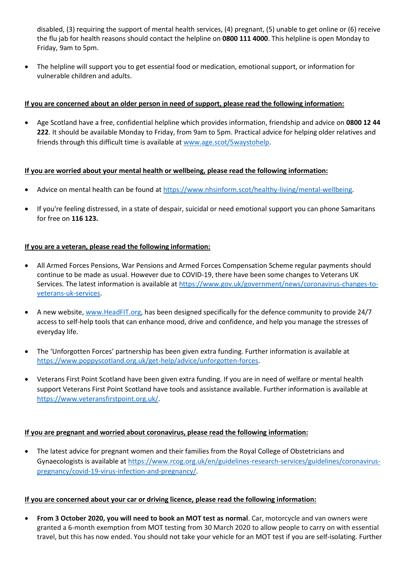disabled, (3) requiring the support of mental health services, (4) pregnant, (5) unable to get online or (6) receive the flu jab for health reasons should contact the helpline on **0800 111 4000**. This helpline is open Monday to Friday, 9am to 5pm.

 The helpline will support you to get essential food or medication, emotional support, or information for vulnerable children and adults.

### **If you are concerned about an older person in need of support, please read the following information:**

 Age Scotland have a free, confidential helpline which provides information, friendship and advice on **0800 12 44 222**. It should be available Monday to Friday, from 9am to 5pm. Practical advice for helping older relatives and friends through this difficult time is available at [www.age.scot/5waystohelp.](http://www.age.scot/5waystohelp)

#### **If you are worried about your mental health or wellbeing, please read the following information:**

- Advice on mental health can be found a[t https://www.nhsinform.scot/healthy-living/mental-wellbeing.](https://www.nhsinform.scot/healthy-living/mental-wellbeing)
- If you're feeling distressed, in a state of despair, suicidal or need emotional support you can phone Samaritans for free on **116 123.**

#### **If you are a veteran, please read the following information:**

- All Armed Forces Pensions, War Pensions and Armed Forces Compensation Scheme regular payments should continue to be made as usual. However due to COVID-19, there have been some changes to Veterans UK Services. The latest information is available a[t https://www.gov.uk/government/news/coronavirus-changes-to](https://www.gov.uk/government/news/coronavirus-changes-to-veterans-uk-services)[veterans-uk-services.](https://www.gov.uk/government/news/coronavirus-changes-to-veterans-uk-services)
- A new website, [www.HeadFIT.org,](http://www.headfit.org/) has been designed specifically for the defence community to provide 24/7 access to self-help tools that can enhance mood, drive and confidence, and help you manage the stresses of everyday life.
- The 'Unforgotten Forces' partnership has been given extra funding. Further information is available at [https://www.poppyscotland.org.uk/get-help/advice/unforgotten-forces.](https://www.poppyscotland.org.uk/get-help/advice/unforgotten-forces)
- Veterans First Point Scotland have been given extra funding. If you are in need of welfare or mental health support Veterans First Point Scotland have tools and assistance available. Further information is available at [https://www.veteransfirstpoint.org.uk/.](https://www.veteransfirstpoint.org.uk/)

# **If you are pregnant and worried about coronavirus, please read the following information:**

 The latest advice for pregnant women and their families from the Royal College of Obstetricians and Gynaecologists is available a[t https://www.rcog.org.uk/en/guidelines-research-services/guidelines/coronavirus](https://www.rcog.org.uk/en/guidelines-research-services/guidelines/coronavirus-pregnancy/covid-19-virus-infection-and-pregnancy/)[pregnancy/covid-19-virus-infection-and-pregnancy/.](https://www.rcog.org.uk/en/guidelines-research-services/guidelines/coronavirus-pregnancy/covid-19-virus-infection-and-pregnancy/)

#### **If you are concerned about your car or driving licence, please read the following information:**

 **From 3 October 2020, you will need to book an MOT test as normal**. Car, motorcycle and van owners were granted a 6-month exemption from MOT testing from 30 March 2020 to allow people to carry on with essential travel, but this has now ended. You should not take your vehicle for an MOT test if you are self-isolating. Further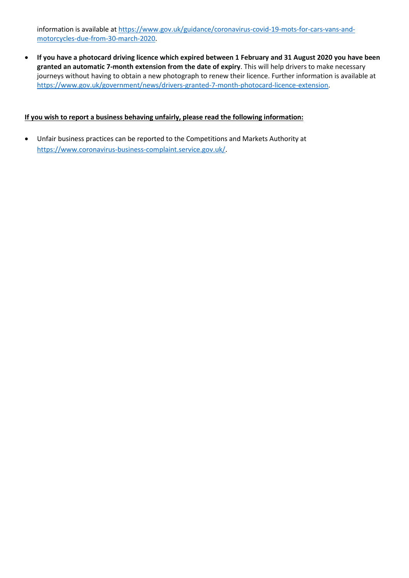information is available a[t https://www.gov.uk/guidance/coronavirus-covid-19-mots-for-cars-vans-and](https://www.gov.uk/guidance/coronavirus-covid-19-mots-for-cars-vans-and-motorcycles-due-from-30-march-2020)[motorcycles-due-from-30-march-2020.](https://www.gov.uk/guidance/coronavirus-covid-19-mots-for-cars-vans-and-motorcycles-due-from-30-march-2020)

 **If you have a photocard driving licence which expired between 1 February and 31 August 2020 you have been granted an automatic 7-month extension from the date of expiry**. This will help drivers to make necessary journeys without having to obtain a new photograph to renew their licence. Further information is available at [https://www.gov.uk/government/news/drivers-granted-7-month-photocard-licence-extension.](https://www.gov.uk/government/news/drivers-granted-7-month-photocard-licence-extension)

### **If you wish to report a business behaving unfairly, please read the following information:**

 Unfair business practices can be reported to the Competitions and Markets Authority at [https://www.coronavirus-business-complaint.service.gov.uk/.](https://www.coronavirus-business-complaint.service.gov.uk/)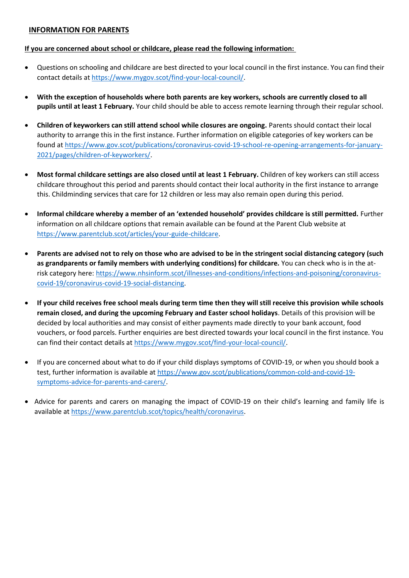### <span id="page-9-0"></span>**INFORMATION FOR PARENTS**

#### **If you are concerned about school or childcare, please read the following information:**

- Questions on schooling and childcare are best directed to your local council in the first instance. You can find their contact details at [https://www.mygov.scot/find-your-local-council/.](https://www.mygov.scot/find-your-local-council/)
- **With the exception of households where both parents are key workers, schools are currently closed to all pupils until at least 1 February.** Your child should be able to access remote learning through their regular school.
- **•** Children of keyworkers can still attend school while closures are ongoing. Parents should contact their local authority to arrange this in the first instance. Further information on eligible categories of key workers can be found at [https://www.gov.scot/publications/coronavirus-covid-19-school-re-opening-arrangements-for-january-](https://www.gov.scot/publications/coronavirus-covid-19-school-re-opening-arrangements-for-january-2021/pages/children-of-keyworkers/)[2021/pages/children-of-keyworkers/.](https://www.gov.scot/publications/coronavirus-covid-19-school-re-opening-arrangements-for-january-2021/pages/children-of-keyworkers/)
- **Most formal childcare settings are also closed until at least 1 February.** Children of key workers can still access childcare throughout this period and parents should contact their local authority in the first instance to arrange this. Childminding services that care for 12 children or less may also remain open during this period.
- **Informal childcare whereby a member of an 'extended household' provides childcare is still permitted.** Further information on all childcare options that remain available can be found at the Parent Club website at [https://www.parentclub.scot/articles/your-guide-childcare.](https://www.parentclub.scot/articles/your-guide-childcare)
- **Parents are advised not to rely on those who are advised to be in the stringent social distancing category (such as grandparents or family members with underlying conditions) for childcare.** You can check who is in the atrisk category here[: https://www.nhsinform.scot/illnesses-and-conditions/infections-and-poisoning/coronavirus](https://www.nhsinform.scot/illnesses-and-conditions/infections-and-poisoning/coronavirus-covid-19/coronavirus-covid-19-social-distancing)[covid-19/coronavirus-covid-19-social-distancing.](https://www.nhsinform.scot/illnesses-and-conditions/infections-and-poisoning/coronavirus-covid-19/coronavirus-covid-19-social-distancing)
- **If your child receives free school meals during term time then they will still receive this provision while schools remain closed, and during the upcoming February and Easter school holidays**. Details of this provision will be decided by local authorities and may consist of either payments made directly to your bank account, food vouchers, or food parcels. Further enquiries are best directed towards your local council in the first instance. You can find their contact details at [https://www.mygov.scot/find-your-local-council/.](https://www.mygov.scot/find-your-local-council/)
- If you are concerned about what to do if your child displays symptoms of COVID-19, or when you should book a test, further information is available at [https://www.gov.scot/publications/common-cold-and-covid-19](https://www.gov.scot/publications/common-cold-and-covid-19-symptoms-advice-for-parents-and-carers/) [symptoms-advice-for-parents-and-carers/.](https://www.gov.scot/publications/common-cold-and-covid-19-symptoms-advice-for-parents-and-carers/)
- Advice for parents and carers on managing the impact of COVID-19 on their child's learning and family life is available a[t https://www.parentclub.scot/topics/health/coronavirus.](https://www.parentclub.scot/topics/health/coronavirus)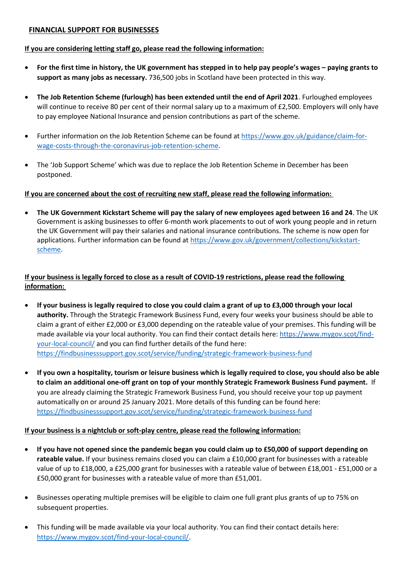# <span id="page-10-0"></span>**FINANCIAL SUPPORT FOR BUSINESSES**

# **If you are considering letting staff go, please read the following information:**

- **For the first time in history, the UK government has stepped in to help pay people's wages – paying grants to support as many jobs as necessary.** 736,500 jobs in Scotland have been protected in this way.
- **The Job Retention Scheme (furlough) has been extended until the end of April 2021**. Furloughed employees will continue to receive 80 per cent of their normal salary up to a maximum of £2,500. Employers will only have to pay employee National Insurance and pension contributions as part of the scheme.
- Further information on the Job Retention Scheme can be found a[t https://www.gov.uk/guidance/claim-for](https://www.gov.uk/guidance/claim-for-wage-costs-through-the-coronavirus-job-retention-scheme)[wage-costs-through-the-coronavirus-job-retention-scheme.](https://www.gov.uk/guidance/claim-for-wage-costs-through-the-coronavirus-job-retention-scheme)
- The 'Job Support Scheme' which was due to replace the Job Retention Scheme in December has been postponed.

# **If you are concerned about the cost of recruiting new staff, please read the following information:**

 **The UK Government Kickstart Scheme will pay the salary of new employees aged between 16 and 24**. The UK Government is asking businesses to offer 6-month work placements to out of work young people and in return the UK Government will pay their salaries and national insurance contributions. The scheme is now open for applications. Further information can be found at [https://www.gov.uk/government/collections/kickstart](https://www.gov.uk/government/collections/kickstart-scheme)[scheme.](https://www.gov.uk/government/collections/kickstart-scheme)

# **If your business is legally forced to close as a result of COVID-19 restrictions, please read the following information:**

- **If your business is legally required to close you could claim a grant of up to £3,000 through your local authority.** Through the Strategic Framework Business Fund, every four weeks your business should be able to claim a grant of either £2,000 or £3,000 depending on the rateable value of your premises. This funding will be made available via your local authority. You can find their contact details here: [https://www.mygov.scot/find](https://www.mygov.scot/find-your-local-council/)[your-local-council/](https://www.mygov.scot/find-your-local-council/) and you can find further details of the fund here: <https://findbusinesssupport.gov.scot/service/funding/strategic-framework-business-fund>
- **If you own a hospitality, tourism or leisure business which is legally required to close, you should also be able to claim an additional one-off grant on top of your monthly Strategic Framework Business Fund payment.** If you are already claiming the Strategic Framework Business Fund, you should receive your top up payment automatically on or around 25 January 2021. More details of this funding can be found here: <https://findbusinesssupport.gov.scot/service/funding/strategic-framework-business-fund>

# **If your business is a nightclub or soft-play centre, please read the following information:**

- **If you have not opened since the pandemic began you could claim up to £50,000 of support depending on rateable value.** If your business remains closed you can claim a £10,000 grant for businesses with a rateable value of up to £18,000, a £25,000 grant for businesses with a rateable value of between £18,001 - £51,000 or a £50,000 grant for businesses with a rateable value of more than £51,001.
- Businesses operating multiple premises will be eligible to claim one full grant plus grants of up to 75% on subsequent properties.
- This funding will be made available via your local authority. You can find their contact details here: [https://www.mygov.scot/find-your-local-council/.](https://www.mygov.scot/find-your-local-council/)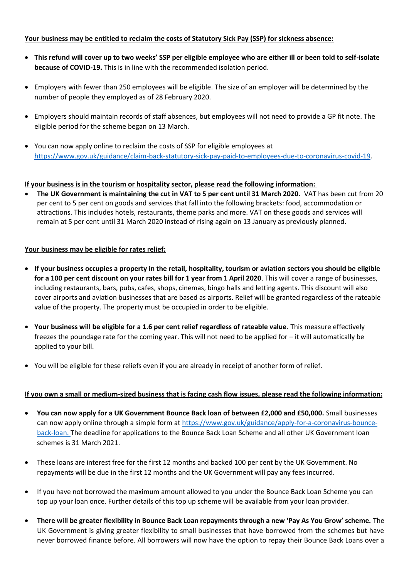# **Your business may be entitled to reclaim the costs of Statutory Sick Pay (SSP) for sickness absence:**

- **This refund will cover up to two weeks' SSP per eligible employee who are either ill or been told to self-isolate because of COVID-19.** This is in line with the recommended isolation period.
- Employers with fewer than 250 employees will be eligible. The size of an employer will be determined by the number of people they employed as of 28 February 2020.
- Employers should maintain records of staff absences, but employees will not need to provide a GP fit note. The eligible period for the scheme began on 13 March.
- You can now apply online to reclaim the costs of SSP for eligible employees at [https://www.gov.uk/guidance/claim-back-statutory-sick-pay-paid-to-employees-due-to-coronavirus-covid-19.](https://www.gov.uk/guidance/claim-back-statutory-sick-pay-paid-to-employees-due-to-coronavirus-covid-19)

# **If your business is in the tourism or hospitality sector, please read the following information:**

 **The UK Government is maintaining the cut in VAT to 5 per cent until 31 March 2020.** VAT has been cut from 20 per cent to 5 per cent on goods and services that fall into the following brackets: food, accommodation or attractions. This includes hotels, restaurants, theme parks and more. VAT on these goods and services will remain at 5 per cent until 31 March 2020 instead of rising again on 13 January as previously planned.

# **Your business may be eligible for rates relief:**

- **If your business occupies a property in the retail, hospitality, tourism or aviation sectors you should be eligible for a 100 per cent discount on your rates bill for 1 year from 1 April 2020**. This will cover a range of businesses, including restaurants, bars, pubs, cafes, shops, cinemas, bingo halls and letting agents. This discount will also cover airports and aviation businesses that are based as airports. Relief will be granted regardless of the rateable value of the property. The property must be occupied in order to be eligible.
- **Your business will be eligible for a 1.6 per cent relief regardless of rateable value**. This measure effectively freezes the poundage rate for the coming year. This will not need to be applied for – it will automatically be applied to your bill.
- You will be eligible for these reliefs even if you are already in receipt of another form of relief.

# **If you own a small or medium-sized business that is facing cash flow issues, please read the following information:**

- **You can now apply for a UK Government Bounce Back loan of between £2,000 and £50,000.** Small businesses can now apply online through a simple form at [https://www.gov.uk/guidance/apply-for-a-coronavirus-bounce](https://www.gov.uk/guidance/apply-for-a-coronavirus-bounce-back-loan)[back-loan.](https://www.gov.uk/guidance/apply-for-a-coronavirus-bounce-back-loan) The deadline for applications to the Bounce Back Loan Scheme and all other UK Government loan schemes is 31 March 2021.
- These loans are interest free for the first 12 months and backed 100 per cent by the UK Government. No repayments will be due in the first 12 months and the UK Government will pay any fees incurred.
- If you have not borrowed the maximum amount allowed to you under the Bounce Back Loan Scheme you can top up your loan once. Further details of this top up scheme will be available from your loan provider.
- **There will be greater flexibility in Bounce Back Loan repayments through a new 'Pay As You Grow' scheme.** The UK Government is giving greater flexibility to small businesses that have borrowed from the schemes but have never borrowed finance before. All borrowers will now have the option to repay their Bounce Back Loans over a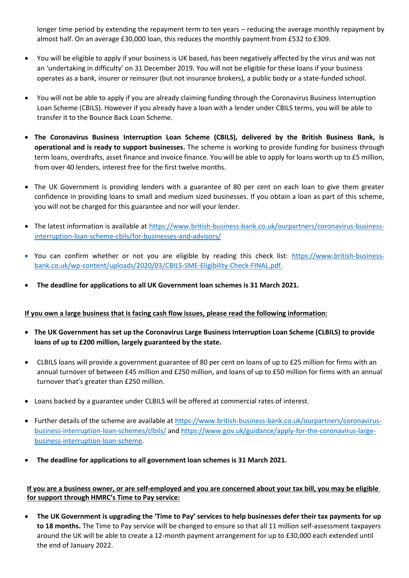longer time period by extending the repayment term to ten years – reducing the average monthly repayment by almost half. On an average £30,000 loan, this reduces the monthly payment from £532 to £309.

- You will be eligible to apply if your business is UK based, has been negatively affected by the virus and was not an 'undertaking in difficulty' on 31 December 2019. You will not be eligible for these loans if your business operates as a bank, insurer or reinsurer (but not insurance brokers), a public body or a state-funded school.
- You will not be able to apply if you are already claiming funding through the Coronavirus Business Interruption Loan Scheme (CBILS). However if you already have a loan with a lender under CBILS terms, you will be able to transfer it to the Bounce Back Loan Scheme.
- **The Coronavirus Business Interruption Loan Scheme (CBILS), delivered by the British Business Bank, is operational and is ready to support businesses.** The scheme is working to provide funding for business through term loans, overdrafts, asset finance and invoice finance. You will be able to apply for loans worth up to £5 million, from over 40 lenders, interest free for the first twelve months.
- The UK Government is providing lenders with a guarantee of 80 per cent on each loan to give them greater confidence in providing loans to small and medium sized businesses. If you obtain a loan as part of this scheme, you will not be charged for this guarantee and nor will your lender.
- The latest information is available at [https://www.british-business-bank.co.uk/ourpartners/coronavirus-business](https://www.british-business-bank.co.uk/ourpartners/coronavirus-business-interruption-loan-scheme-cbils/for-businesses-and-advisors/)[interruption-loan-scheme-cbils/for-businesses-and-advisors/](https://www.british-business-bank.co.uk/ourpartners/coronavirus-business-interruption-loan-scheme-cbils/for-businesses-and-advisors/)
- You can confirm whether or not you are eligible by reading this check list: [https://www.british-business](https://www.british-business-bank.co.uk/wp-content/uploads/2020/03/CBILS-SME-Eligibility-Check-FINAL.pdf)[bank.co.uk/wp-content/uploads/2020/03/CBILS-SME-Eligibility-Check-FINAL.pdf.](https://www.british-business-bank.co.uk/wp-content/uploads/2020/03/CBILS-SME-Eligibility-Check-FINAL.pdf)
- **The deadline for applications to all UK Government loan schemes is 31 March 2021.**

# **If you own a large business that is facing cash flow issues, please read the following information:**

- **The UK Government has set up the Coronavirus Large Business Interruption Loan Scheme (CLBILS) to provide loans of up to £200 million, largely guaranteed by the state.**
- CLBILS loans will provide a government guarantee of 80 per cent on loans of up to £25 million for firms with an annual turnover of between £45 million and £250 million, and loans of up to £50 million for firms with an annual turnover that's greater than £250 million.
- Loans backed by a guarantee under CLBILS will be offered at commercial rates of interest.
- Further details of the scheme are available at [https://www.british-business-bank.co.uk/ourpartners/coronavirus](https://www.british-business-bank.co.uk/ourpartners/coronavirus-business-interruption-loan-schemes/clbils/)[business-interruption-loan-schemes/clbils/](https://www.british-business-bank.co.uk/ourpartners/coronavirus-business-interruption-loan-schemes/clbils/) and [https://www.gov.uk/guidance/apply-for-the-coronavirus-large](https://www.gov.uk/guidance/apply-for-the-coronavirus-large-business-interruption-loan-scheme)[business-interruption-loan-scheme.](https://www.gov.uk/guidance/apply-for-the-coronavirus-large-business-interruption-loan-scheme)
- **The deadline for applications to all government loan schemes is 31 March 2021.**

# **If you are a business owner, or are self-employed and you are concerned about your tax bill, you may be eligible for support through HMRC's Time to Pay service:**

 **The UK Government is upgrading the 'Time to Pay' services to help businesses defer their tax payments for up to 18 months.** The Time to Pay service will be changed to ensure so that all 11 million self-assessment taxpayers around the UK will be able to create a 12-month payment arrangement for up to £30,000 each extended until the end of January 2022.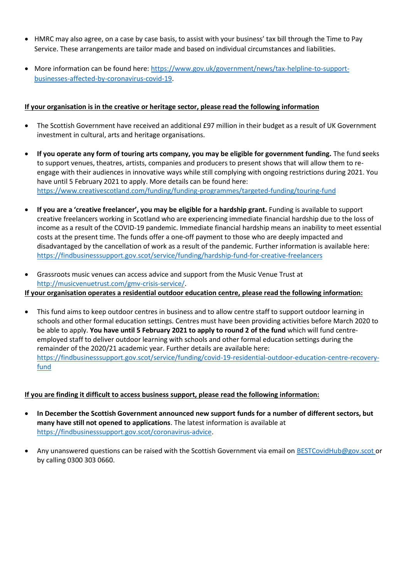- HMRC may also agree, on a case by case basis, to assist with your business' tax bill through the Time to Pay Service. These arrangements are tailor made and based on individual circumstances and liabilities.
- More information can be found here[: https://www.gov.uk/government/news/tax-helpline-to-support](https://www.gov.uk/government/news/tax-helpline-to-support-businesses-affected-by-coronavirus-covid-19)[businesses-affected-by-coronavirus-covid-19.](https://www.gov.uk/government/news/tax-helpline-to-support-businesses-affected-by-coronavirus-covid-19)

# **If your organisation is in the creative or heritage sector, please read the following information**

- The Scottish Government have received an additional £97 million in their budget as a result of UK Government investment in cultural, arts and heritage organisations.
- **If you operate any form of touring arts company, you may be eligible for government funding.** The fund **s**eeks to support venues, theatres, artists, companies and producers to present shows that will allow them to reengage with their audiences in innovative ways while still complying with ongoing restrictions during 2021. You have until 5 February 2021 to apply. More details can be found here: <https://www.creativescotland.com/funding/funding-programmes/targeted-funding/touring-fund>
- **If you are a 'creative freelancer', you may be eligible for a hardship grant.** Funding is available to support creative freelancers working in Scotland who are experiencing immediate financial hardship due to the loss of income as a result of the COVID-19 pandemic. Immediate financial hardship means an inability to meet essential costs at the present time. The funds offer a one-off payment to those who are deeply impacted and disadvantaged by the cancellation of work as a result of the pandemic. Further information is available here: <https://findbusinesssupport.gov.scot/service/funding/hardship-fund-for-creative-freelancers>
- Grassroots music venues can access advice and support from the Music Venue Trust at [http://musicvenuetrust.com/gmv-crisis-service/.](http://musicvenuetrust.com/gmv-crisis-service/) **If your organisation operates a residential outdoor education centre, please read the following information:**
- This fund aims to keep outdoor centres in business and to allow centre staff to support outdoor learning in schools and other formal education settings. Centres must have been providing activities before March 2020 to be able to apply. **You have until 5 February 2021 to apply to round 2 of the fund** which will fund centreemployed staff to deliver outdoor learning with schools and other formal education settings during the remainder of the 2020/21 academic year. Further details are available here: [https://findbusinesssupport.gov.scot/service/funding/covid-19-residential-outdoor-education-centre-recovery](https://findbusinesssupport.gov.scot/service/funding/covid-19-residential-outdoor-education-centre-recovery-fund)[fund](https://findbusinesssupport.gov.scot/service/funding/covid-19-residential-outdoor-education-centre-recovery-fund)

# **If you are finding it difficult to access business support, please read the following information:**

- **In December the Scottish Government announced new support funds for a number of different sectors, but many have still not opened to applications**. The latest information is available at [https://findbusinesssupport.gov.scot/coronavirus-advice.](https://findbusinesssupport.gov.scot/coronavirus-advice)
- Any unanswered questions can be raised with the Scottish Government via email on **BESTCovidHub@gov.scot or** by calling 0300 303 0660.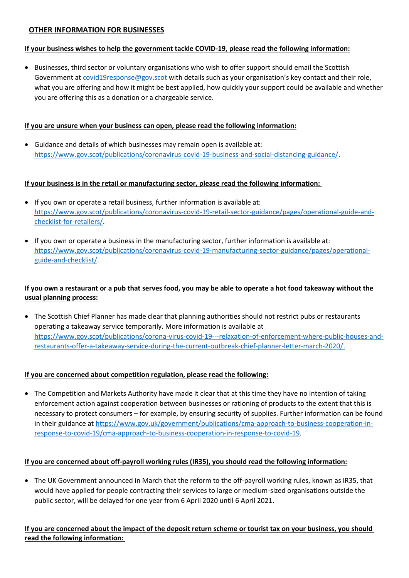# <span id="page-14-0"></span>**OTHER INFORMATION FOR BUSINESSES**

### **If your business wishes to help the government tackle COVID-19, please read the following information:**

• Businesses, third sector or voluntary organisations who wish to offer support should email the Scottish Government a[t covid19response@gov.scot](mailto:covid19response@gov.scot) with details such as your organisation's key contact and their role, what you are offering and how it might be best applied, how quickly your support could be available and whether you are offering this as a donation or a chargeable service.

### **If you are unsure when your business can open, please read the following information:**

 Guidance and details of which businesses may remain open is available at: [https://www.gov.scot/publications/coronavirus-covid-19-business-and-social-distancing-guidance/.](https://www.gov.scot/publications/coronavirus-covid-19-business-and-social-distancing-guidance/)

# **If your business is in the retail or manufacturing sector, please read the following information:**

- If you own or operate a retail business, further information is available at: [https://www.gov.scot/publications/coronavirus-covid-19-retail-sector-guidance/pages/operational-guide-and](https://www.gov.scot/publications/coronavirus-covid-19-retail-sector-guidance/pages/operational-guide-and-checklist-for-retailers/)[checklist-for-retailers/.](https://www.gov.scot/publications/coronavirus-covid-19-retail-sector-guidance/pages/operational-guide-and-checklist-for-retailers/)
- If you own or operate a business in the manufacturing sector, further information is available at: [https://www.gov.scot/publications/coronavirus-covid-19-manufacturing-sector-guidance/pages/operational](https://www.gov.scot/publications/coronavirus-covid-19-manufacturing-sector-guidance/pages/operational-guide-and-checklist/)[guide-and-checklist/.](https://www.gov.scot/publications/coronavirus-covid-19-manufacturing-sector-guidance/pages/operational-guide-and-checklist/)

# **If you own a restaurant or a pub that serves food, you may be able to operate a hot food takeaway without the usual planning process:**

• The Scottish Chief Planner has made clear that planning authorities should not restrict pubs or restaurants operating a takeaway service temporarily. More information is available at [https://www.gov.scot/publications/corona-virus-covid-19---relaxation-of-enforcement-where-public-houses-and](https://www.gov.scot/publications/corona-virus-covid-19---relaxation-of-enforcement-where-public-houses-and-restaurants-offer-a-takeaway-service-during-the-current-outbreak-chief-planner-letter-march-2020/)[restaurants-offer-a-takeaway-service-during-the-current-outbreak-chief-planner-letter-march-2020/.](https://www.gov.scot/publications/corona-virus-covid-19---relaxation-of-enforcement-where-public-houses-and-restaurants-offer-a-takeaway-service-during-the-current-outbreak-chief-planner-letter-march-2020/)

# **If you are concerned about competition regulation, please read the following:**

 The Competition and Markets Authority have made it clear that at this time they have no intention of taking enforcement action against cooperation between businesses or rationing of products to the extent that this is necessary to protect consumers – for example, by ensuring security of supplies. Further information can be found in their guidance at [https://www.gov.uk/government/publications/cma-approach-to-business-cooperation-in](https://www.gov.uk/government/publications/cma-approach-to-business-cooperation-in-response-to-covid-19/cma-approach-to-business-cooperation-in-response-to-covid-19)[response-to-covid-19/cma-approach-to-business-cooperation-in-response-to-covid-19.](https://www.gov.uk/government/publications/cma-approach-to-business-cooperation-in-response-to-covid-19/cma-approach-to-business-cooperation-in-response-to-covid-19)

# **If you are concerned about off-payroll working rules (IR35), you should read the following information:**

 The UK Government announced in March that the reform to the off-payroll working rules, known as IR35, that would have applied for people contracting their services to large or medium-sized organisations outside the public sector, will be delayed for one year from 6 April 2020 until 6 April 2021.

**If you are concerned about the impact of the deposit return scheme or tourist tax on your business, you should read the following information:**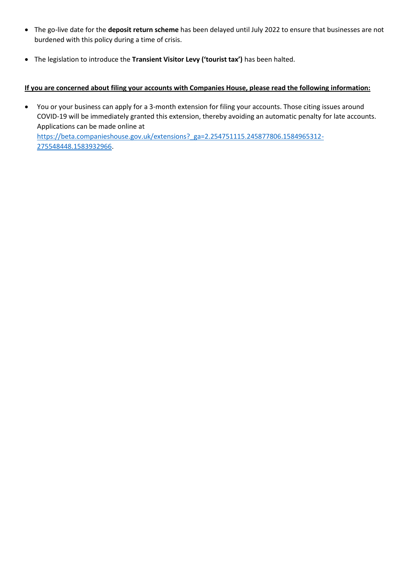- The go-live date for the **deposit return scheme** has been delayed until July 2022 to ensure that businesses are not burdened with this policy during a time of crisis.
- The legislation to introduce the **Transient Visitor Levy ('tourist tax')** has been halted.

# **If you are concerned about filing your accounts with Companies House, please read the following information:**

 You or your business can apply for a 3-month extension for filing your accounts. Those citing issues around COVID-19 will be immediately granted this extension, thereby avoiding an automatic penalty for late accounts. Applications can be made online at

[https://beta.companieshouse.gov.uk/extensions?\\_ga=2.254751115.245877806.1584965312-](https://beta.companieshouse.gov.uk/extensions?_ga=2.254751115.245877806.1584965312-275548448.1583932966) [275548448.1583932966.](https://beta.companieshouse.gov.uk/extensions?_ga=2.254751115.245877806.1584965312-275548448.1583932966)